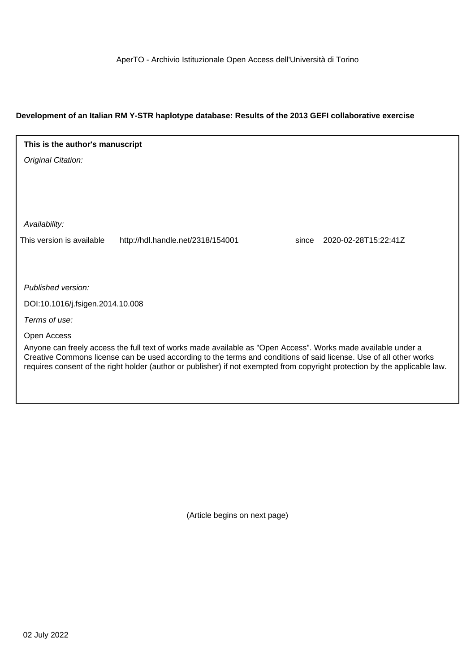AperTO - Archivio Istituzionale Open Access dell'Università di Torino

# **Development of an Italian RM Y-STR haplotype database: Results of the 2013 GEFI collaborative exercise**

# Original Citation: **This is the author's manuscript**

Availability:

This version is available http://hdl.handle.net/2318/154001 since 2020-02-28T15:22:41Z

Published version:

DOI:10.1016/j.fsigen.2014.10.008

Terms of use:

Open Access

Anyone can freely access the full text of works made available as "Open Access". Works made available under a Creative Commons license can be used according to the terms and conditions of said license. Use of all other works requires consent of the right holder (author or publisher) if not exempted from copyright protection by the applicable law.

(Article begins on next page)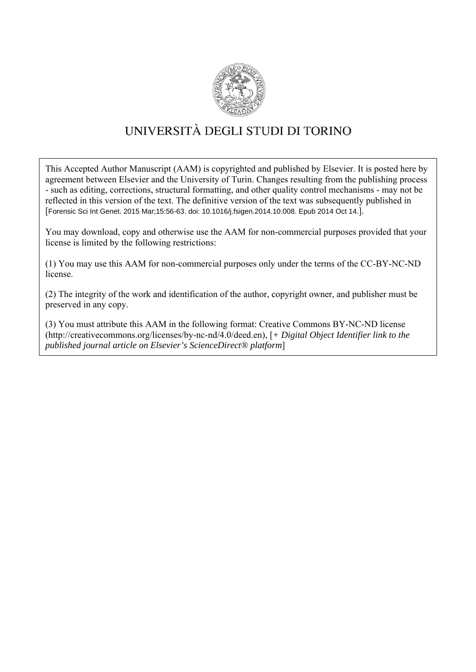

# UNIVERSITÀ DEGLI STUDI DI TORINO

This Accepted Author Manuscript (AAM) is copyrighted and published by Elsevier. It is posted here by agreement between Elsevier and the University of Turin. Changes resulting from the publishing process - such as editing, corrections, structural formatting, and other quality control mechanisms - may not be reflected in this version of the text. The definitive version of the text was subsequently published in [Forensic Sci Int Genet. 2015 Mar;15:56-63. doi: 10.1016/j.fsigen.2014.10.008. Epub 2014 Oct 14.].

You may download, copy and otherwise use the AAM for non-commercial purposes provided that your license is limited by the following restrictions:

(1) You may use this AAM for non-commercial purposes only under the terms of the CC-BY-NC-ND license.

(2) The integrity of the work and identification of the author, copyright owner, and publisher must be preserved in any copy.

(3) You must attribute this AAM in the following format: Creative Commons BY-NC-ND license (http://creativecommons.org/licenses/by-nc-nd/4.0/deed.en), [*+ Digital Object Identifier link to the published journal article on Elsevier's ScienceDirect® platform*]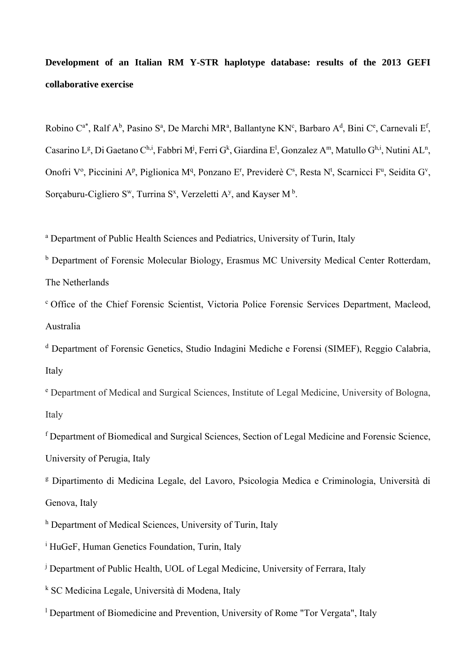**Development of an Italian RM Y-STR haplotype database: results of the 2013 GEFI collaborative exercise** 

Robino C<sup>a\*</sup>, Ralf A<sup>b</sup>, Pasino S<sup>a</sup>, De Marchi MR<sup>a</sup>, Ballantyne KN<sup>c</sup>, Barbaro A<sup>d</sup>, Bini C<sup>e</sup>, Carnevali E<sup>f</sup>, Casarino L<sup>g</sup>, Di Gaetano C<sup>h,i</sup>, Fabbri M<sup>j</sup>, Ferri G<sup>k</sup>, Giardina E<sup>l</sup>, Gonzalez A<sup>m</sup>, Matullo G<sup>h,i</sup>, Nutini AL<sup>n</sup>, Onofri V<sup>o</sup>, Piccinini A<sup>p</sup>, Piglionica M<sup>q</sup>, Ponzano E<sup>r</sup>, Previderè C<sup>s</sup>, Resta N<sup>t</sup>, Scarnicci F<sup>u</sup>, Seidita G<sup>v</sup>, Sorçaburu-Cigliero S<sup>w</sup>, Turrina S<sup>x</sup>, Verzeletti A<sup>y</sup>, and Kayser M<sup>b</sup>.

<sup>a</sup> Department of Public Health Sciences and Pediatrics, University of Turin, Italy

<sup>b</sup> Department of Forensic Molecular Biology, Erasmus MC University Medical Center Rotterdam, The Netherlands

c Office of the Chief Forensic Scientist, Victoria Police Forensic Services Department, Macleod, Australia

d Department of Forensic Genetics, Studio Indagini Mediche e Forensi (SIMEF), Reggio Calabria, Italy

<sup>e</sup> Department of Medical and Surgical Sciences, Institute of Legal Medicine, University of Bologna, Italy

f Department of Biomedical and Surgical Sciences, Section of Legal Medicine and Forensic Science, University of Perugia, Italy

<sup>g</sup> Dipartimento di Medicina Legale, del Lavoro, Psicologia Medica e Criminologia, Università di Genova, Italy

h Department of Medical Sciences, University of Turin, Italy

- <sup>i</sup> HuGeF, Human Genetics Foundation, Turin, Italy
- <sup>j</sup> Department of Public Health, UOL of Legal Medicine, University of Ferrara, Italy

k SC Medicina Legale, Università di Modena, Italy

<sup>1</sup> Department of Biomedicine and Prevention, University of Rome "Tor Vergata", Italy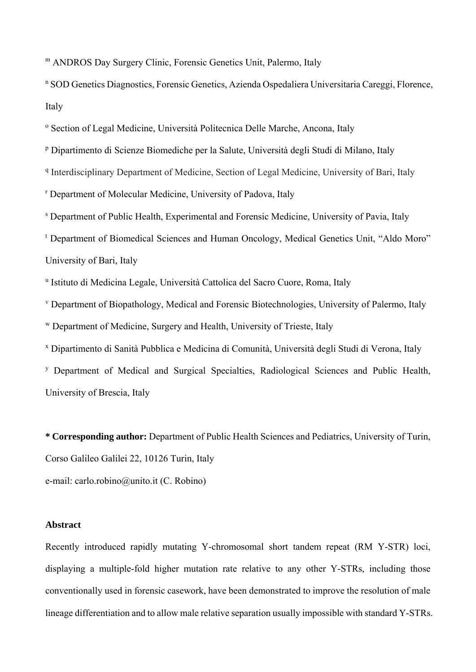m ANDROS Day Surgery Clinic, Forensic Genetics Unit, Palermo, Italy

n SOD Genetics Diagnostics, Forensic Genetics, Azienda Ospedaliera Universitaria Careggi, Florence, Italy

<sup>o</sup> Section of Legal Medicine, Università Politecnica Delle Marche, Ancona, Italy

p Dipartimento di Scienze Biomediche per la Salute, Università degli Studi di Milano, Italy

<sup>q</sup> Interdisciplinary Department of Medicine, Section of Legal Medicine, University of Bari, Italy

r Department of Molecular Medicine, University of Padova, Italy

s Department of Public Health, Experimental and Forensic Medicine, University of Pavia, Italy

<sup>t</sup> Department of Biomedical Sciences and Human Oncology, Medical Genetics Unit, "Aldo Moro" University of Bari, Italy

u Istituto di Medicina Legale, Università Cattolica del Sacro Cuore, Roma, Italy

v Department of Biopathology, Medical and Forensic Biotechnologies, University of Palermo, Italy

w Department of Medicine, Surgery and Health, University of Trieste, Italy

x Dipartimento di Sanità Pubblica e Medicina di Comunità, Università degli Studi di Verona, Italy

y Department of Medical and Surgical Specialties, Radiological Sciences and Public Health, University of Brescia, Italy

**\* Corresponding author:** Department of Public Health Sciences and Pediatrics, University of Turin, Corso Galileo Galilei 22, 10126 Turin, Italy e-mail: carlo.robino@unito.it (C. Robino)

#### **Abstract**

Recently introduced rapidly mutating Y-chromosomal short tandem repeat (RM Y-STR) loci, displaying a multiple-fold higher mutation rate relative to any other Y-STRs, including those conventionally used in forensic casework, have been demonstrated to improve the resolution of male lineage differentiation and to allow male relative separation usually impossible with standard Y-STRs.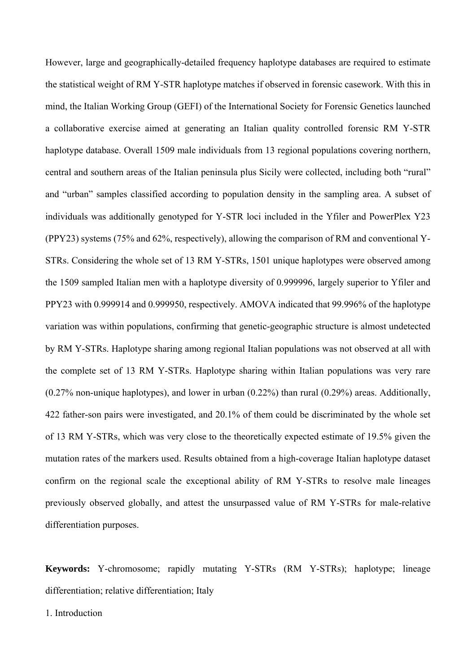However, large and geographically-detailed frequency haplotype databases are required to estimate the statistical weight of RM Y-STR haplotype matches if observed in forensic casework. With this in mind, the Italian Working Group (GEFI) of the International Society for Forensic Genetics launched a collaborative exercise aimed at generating an Italian quality controlled forensic RM Y-STR haplotype database. Overall 1509 male individuals from 13 regional populations covering northern, central and southern areas of the Italian peninsula plus Sicily were collected, including both "rural" and "urban" samples classified according to population density in the sampling area. A subset of individuals was additionally genotyped for Y-STR loci included in the Yfiler and PowerPlex Y23 (PPY23) systems (75% and 62%, respectively), allowing the comparison of RM and conventional Y-STRs. Considering the whole set of 13 RM Y-STRs, 1501 unique haplotypes were observed among the 1509 sampled Italian men with a haplotype diversity of 0.999996, largely superior to Yfiler and PPY23 with 0.999914 and 0.999950, respectively. AMOVA indicated that 99.996% of the haplotype variation was within populations, confirming that genetic-geographic structure is almost undetected by RM Y-STRs. Haplotype sharing among regional Italian populations was not observed at all with the complete set of 13 RM Y-STRs. Haplotype sharing within Italian populations was very rare (0.27% non-unique haplotypes), and lower in urban (0.22%) than rural (0.29%) areas. Additionally, 422 father-son pairs were investigated, and 20.1% of them could be discriminated by the whole set of 13 RM Y-STRs, which was very close to the theoretically expected estimate of 19.5% given the mutation rates of the markers used. Results obtained from a high-coverage Italian haplotype dataset confirm on the regional scale the exceptional ability of RM Y-STRs to resolve male lineages previously observed globally, and attest the unsurpassed value of RM Y-STRs for male-relative differentiation purposes.

**Keywords:** Y-chromosome; rapidly mutating Y-STRs (RM Y-STRs); haplotype; lineage differentiation; relative differentiation; Italy

1. Introduction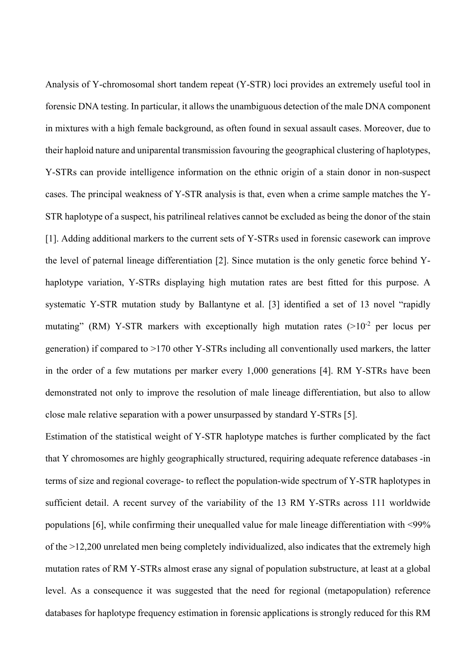Analysis of Y-chromosomal short tandem repeat (Y-STR) loci provides an extremely useful tool in forensic DNA testing. In particular, it allows the unambiguous detection of the male DNA component in mixtures with a high female background, as often found in sexual assault cases. Moreover, due to their haploid nature and uniparental transmission favouring the geographical clustering of haplotypes, Y-STRs can provide intelligence information on the ethnic origin of a stain donor in non-suspect cases. The principal weakness of Y-STR analysis is that, even when a crime sample matches the Y-STR haplotype of a suspect, his patrilineal relatives cannot be excluded as being the donor of the stain [1]. Adding additional markers to the current sets of Y-STRs used in forensic casework can improve the level of paternal lineage differentiation [2]. Since mutation is the only genetic force behind Yhaplotype variation, Y-STRs displaying high mutation rates are best fitted for this purpose. A systematic Y-STR mutation study by Ballantyne et al. [3] identified a set of 13 novel "rapidly mutating" (RM) Y-STR markers with exceptionally high mutation rates  $(>10^{-2}$  per locus per generation) if compared to >170 other Y-STRs including all conventionally used markers, the latter in the order of a few mutations per marker every 1,000 generations [4]. RM Y-STRs have been demonstrated not only to improve the resolution of male lineage differentiation, but also to allow close male relative separation with a power unsurpassed by standard Y-STRs [5].

Estimation of the statistical weight of Y-STR haplotype matches is further complicated by the fact that Y chromosomes are highly geographically structured, requiring adequate reference databases -in terms of size and regional coverage- to reflect the population-wide spectrum of Y-STR haplotypes in sufficient detail. A recent survey of the variability of the 13 RM Y-STRs across 111 worldwide populations [6], while confirming their unequalled value for male lineage differentiation with <99% of the >12,200 unrelated men being completely individualized, also indicates that the extremely high mutation rates of RM Y-STRs almost erase any signal of population substructure, at least at a global level. As a consequence it was suggested that the need for regional (metapopulation) reference databases for haplotype frequency estimation in forensic applications is strongly reduced for this RM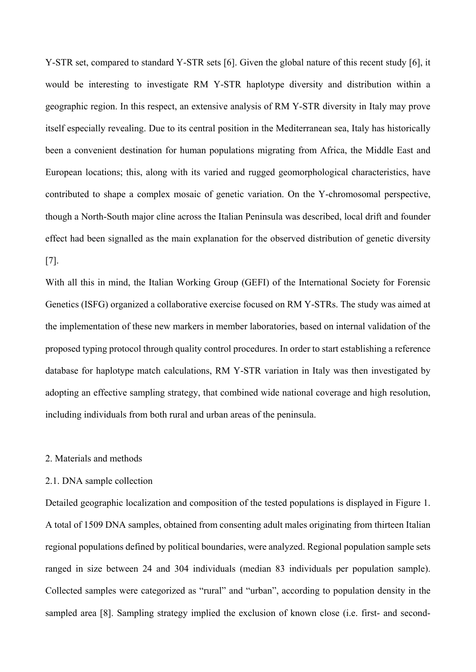Y-STR set, compared to standard Y-STR sets [6]. Given the global nature of this recent study [6], it would be interesting to investigate RM Y-STR haplotype diversity and distribution within a geographic region. In this respect, an extensive analysis of RM Y-STR diversity in Italy may prove itself especially revealing. Due to its central position in the Mediterranean sea, Italy has historically been a convenient destination for human populations migrating from Africa, the Middle East and European locations; this, along with its varied and rugged geomorphological characteristics, have contributed to shape a complex mosaic of genetic variation. On the Y-chromosomal perspective, though a North-South major cline across the Italian Peninsula was described, local drift and founder effect had been signalled as the main explanation for the observed distribution of genetic diversity [7].

With all this in mind, the Italian Working Group (GEFI) of the International Society for Forensic Genetics (ISFG) organized a collaborative exercise focused on RM Y-STRs. The study was aimed at the implementation of these new markers in member laboratories, based on internal validation of the proposed typing protocol through quality control procedures. In order to start establishing a reference database for haplotype match calculations, RM Y-STR variation in Italy was then investigated by adopting an effective sampling strategy, that combined wide national coverage and high resolution, including individuals from both rural and urban areas of the peninsula.

# 2. Materials and methods

# 2.1. DNA sample collection

Detailed geographic localization and composition of the tested populations is displayed in Figure 1. A total of 1509 DNA samples, obtained from consenting adult males originating from thirteen Italian regional populations defined by political boundaries, were analyzed. Regional population sample sets ranged in size between 24 and 304 individuals (median 83 individuals per population sample). Collected samples were categorized as "rural" and "urban", according to population density in the sampled area [8]. Sampling strategy implied the exclusion of known close (i.e. first- and second-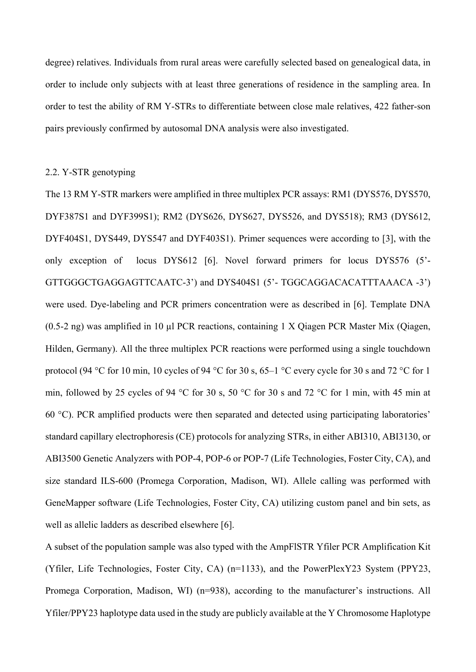degree) relatives. Individuals from rural areas were carefully selected based on genealogical data, in order to include only subjects with at least three generations of residence in the sampling area. In order to test the ability of RM Y-STRs to differentiate between close male relatives, 422 father-son pairs previously confirmed by autosomal DNA analysis were also investigated.

# 2.2. Y-STR genotyping

The 13 RM Y-STR markers were amplified in three multiplex PCR assays: RM1 (DYS576, DYS570, DYF387S1 and DYF399S1); RM2 (DYS626, DYS627, DYS526, and DYS518); RM3 (DYS612, DYF404S1, DYS449, DYS547 and DYF403S1). Primer sequences were according to [3], with the only exception of locus DYS612 [6]. Novel forward primers for locus DYS576 (5'- GTTGGGCTGAGGAGTTCAATC-3') and DYS404S1 (5'- TGGCAGGACACATTTAAACA -3') were used. Dye-labeling and PCR primers concentration were as described in [6]. Template DNA (0.5-2 ng) was amplified in 10 µl PCR reactions, containing 1 X Qiagen PCR Master Mix (Qiagen, Hilden, Germany). All the three multiplex PCR reactions were performed using a single touchdown protocol (94 °C for 10 min, 10 cycles of 94 °C for 30 s, 65–1 °C every cycle for 30 s and 72 °C for 1 min, followed by 25 cycles of 94 °C for 30 s, 50 °C for 30 s and 72 °C for 1 min, with 45 min at 60 °C). PCR amplified products were then separated and detected using participating laboratories' standard capillary electrophoresis (CE) protocols for analyzing STRs, in either ABI310, ABI3130, or ABI3500 Genetic Analyzers with POP-4, POP-6 or POP-7 (Life Technologies, Foster City, CA), and size standard ILS-600 (Promega Corporation, Madison, WI). Allele calling was performed with GeneMapper software (Life Technologies, Foster City, CA) utilizing custom panel and bin sets, as well as allelic ladders as described elsewhere [6].

A subset of the population sample was also typed with the AmpFlSTR Yfiler PCR Amplification Kit (Yfiler, Life Technologies, Foster City, CA) (n=1133), and the PowerPlexY23 System (PPY23, Promega Corporation, Madison, WI) (n=938), according to the manufacturer's instructions. All Yfiler/PPY23 haplotype data used in the study are publicly available at the Y Chromosome Haplotype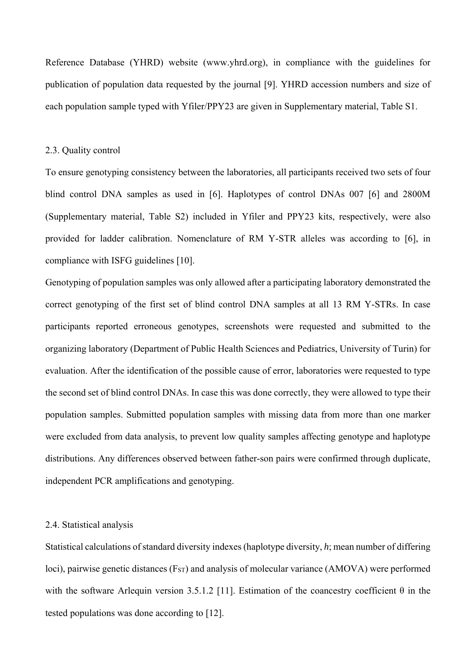Reference Database (YHRD) website (www.yhrd.org), in compliance with the guidelines for publication of population data requested by the journal [9]. YHRD accession numbers and size of each population sample typed with Yfiler/PPY23 are given in Supplementary material, Table S1.

#### 2.3. Quality control

To ensure genotyping consistency between the laboratories, all participants received two sets of four blind control DNA samples as used in [6]. Haplotypes of control DNAs 007 [6] and 2800M (Supplementary material, Table S2) included in Yfiler and PPY23 kits, respectively, were also provided for ladder calibration. Nomenclature of RM Y-STR alleles was according to [6], in compliance with ISFG guidelines [10].

Genotyping of population samples was only allowed after a participating laboratory demonstrated the correct genotyping of the first set of blind control DNA samples at all 13 RM Y-STRs. In case participants reported erroneous genotypes, screenshots were requested and submitted to the organizing laboratory (Department of Public Health Sciences and Pediatrics, University of Turin) for evaluation. After the identification of the possible cause of error, laboratories were requested to type the second set of blind control DNAs. In case this was done correctly, they were allowed to type their population samples. Submitted population samples with missing data from more than one marker were excluded from data analysis, to prevent low quality samples affecting genotype and haplotype distributions. Any differences observed between father-son pairs were confirmed through duplicate, independent PCR amplifications and genotyping.

#### 2.4. Statistical analysis

Statistical calculations of standard diversity indexes (haplotype diversity, *h*; mean number of differing loci), pairwise genetic distances (F<sub>ST</sub>) and analysis of molecular variance (AMOVA) were performed with the software Arlequin version 3.5.1.2 [11]. Estimation of the coancestry coefficient  $\theta$  in the tested populations was done according to [12].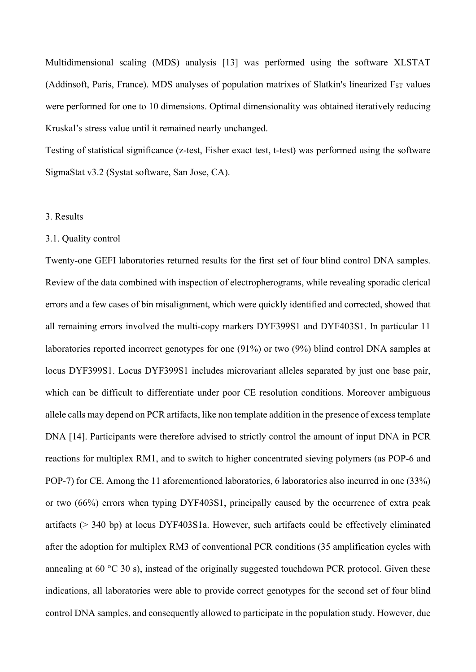Multidimensional scaling (MDS) analysis [13] was performed using the software XLSTAT (Addinsoft, Paris, France). MDS analyses of population matrixes of Slatkin's linearized F<sub>ST</sub> values were performed for one to 10 dimensions. Optimal dimensionality was obtained iteratively reducing Kruskal's stress value until it remained nearly unchanged.

Testing of statistical significance (z-test, Fisher exact test, t-test) was performed using the software SigmaStat v3.2 (Systat software, San Jose, CA).

# 3. Results

#### 3.1. Quality control

Twenty-one GEFI laboratories returned results for the first set of four blind control DNA samples. Review of the data combined with inspection of electropherograms, while revealing sporadic clerical errors and a few cases of bin misalignment, which were quickly identified and corrected, showed that all remaining errors involved the multi-copy markers DYF399S1 and DYF403S1. In particular 11 laboratories reported incorrect genotypes for one (91%) or two (9%) blind control DNA samples at locus DYF399S1. Locus DYF399S1 includes microvariant alleles separated by just one base pair, which can be difficult to differentiate under poor CE resolution conditions. Moreover ambiguous allele calls may depend on PCR artifacts, like non template addition in the presence of excess template DNA [14]. Participants were therefore advised to strictly control the amount of input DNA in PCR reactions for multiplex RM1, and to switch to higher concentrated sieving polymers (as POP-6 and POP-7) for CE. Among the 11 aforementioned laboratories, 6 laboratories also incurred in one (33%) or two (66%) errors when typing DYF403S1, principally caused by the occurrence of extra peak artifacts (> 340 bp) at locus DYF403S1a. However, such artifacts could be effectively eliminated after the adoption for multiplex RM3 of conventional PCR conditions (35 amplification cycles with annealing at 60 °C 30 s), instead of the originally suggested touchdown PCR protocol. Given these indications, all laboratories were able to provide correct genotypes for the second set of four blind control DNA samples, and consequently allowed to participate in the population study. However, due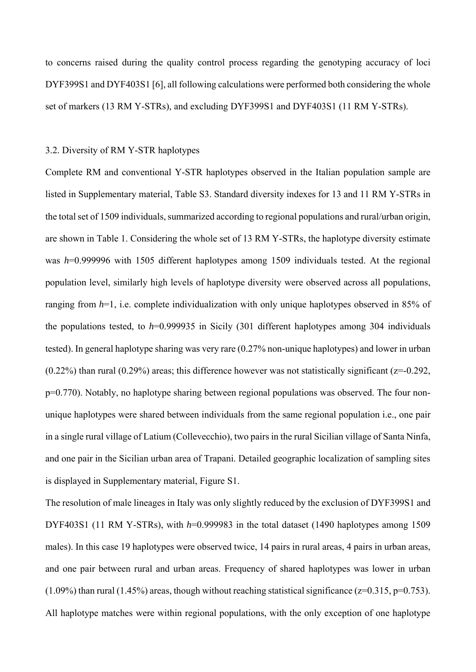to concerns raised during the quality control process regarding the genotyping accuracy of loci DYF399S1 and DYF403S1 [6], all following calculations were performed both considering the whole set of markers (13 RM Y-STRs), and excluding DYF399S1 and DYF403S1 (11 RM Y-STRs).

### 3.2. Diversity of RM Y-STR haplotypes

Complete RM and conventional Y-STR haplotypes observed in the Italian population sample are listed in Supplementary material, Table S3. Standard diversity indexes for 13 and 11 RM Y-STRs in the total set of 1509 individuals, summarized according to regional populations and rural/urban origin, are shown in Table 1. Considering the whole set of 13 RM Y-STRs, the haplotype diversity estimate was *h*=0.999996 with 1505 different haplotypes among 1509 individuals tested. At the regional population level, similarly high levels of haplotype diversity were observed across all populations, ranging from *h*=1, i.e. complete individualization with only unique haplotypes observed in 85% of the populations tested, to *h*=0.999935 in Sicily (301 different haplotypes among 304 individuals tested). In general haplotype sharing was very rare (0.27% non-unique haplotypes) and lower in urban  $(0.22\%)$  than rural  $(0.29\%)$  areas; this difference however was not statistically significant ( $z=0.292$ , p=0.770). Notably, no haplotype sharing between regional populations was observed. The four nonunique haplotypes were shared between individuals from the same regional population i.e., one pair in a single rural village of Latium (Collevecchio), two pairs in the rural Sicilian village of Santa Ninfa, and one pair in the Sicilian urban area of Trapani. Detailed geographic localization of sampling sites is displayed in Supplementary material, Figure S1.

The resolution of male lineages in Italy was only slightly reduced by the exclusion of DYF399S1 and DYF403S1 (11 RM Y-STRs), with *h*=0.999983 in the total dataset (1490 haplotypes among 1509 males). In this case 19 haplotypes were observed twice, 14 pairs in rural areas, 4 pairs in urban areas, and one pair between rural and urban areas. Frequency of shared haplotypes was lower in urban  $(1.09\%)$  than rural  $(1.45\%)$  areas, though without reaching statistical significance  $(z=0.315, p=0.753)$ . All haplotype matches were within regional populations, with the only exception of one haplotype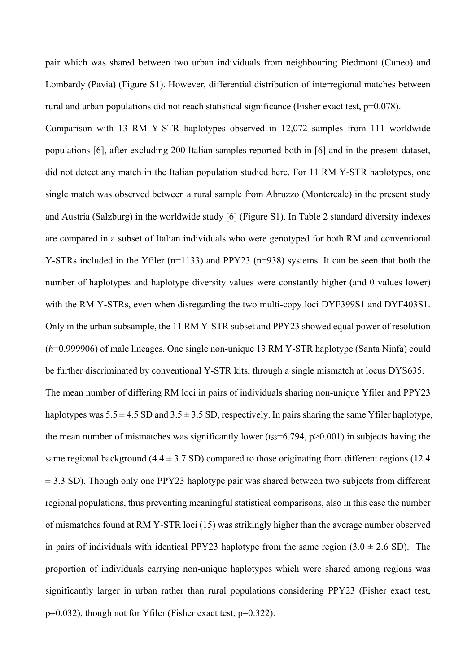pair which was shared between two urban individuals from neighbouring Piedmont (Cuneo) and Lombardy (Pavia) (Figure S1). However, differential distribution of interregional matches between rural and urban populations did not reach statistical significance (Fisher exact test, p=0.078).

Comparison with 13 RM Y-STR haplotypes observed in 12,072 samples from 111 worldwide populations [6], after excluding 200 Italian samples reported both in [6] and in the present dataset, did not detect any match in the Italian population studied here. For 11 RM Y-STR haplotypes, one single match was observed between a rural sample from Abruzzo (Montereale) in the present study and Austria (Salzburg) in the worldwide study [6] (Figure S1). In Table 2 standard diversity indexes are compared in a subset of Italian individuals who were genotyped for both RM and conventional Y-STRs included in the Yfiler (n=1133) and PPY23 (n=938) systems. It can be seen that both the number of haplotypes and haplotype diversity values were constantly higher (and  $\theta$  values lower) with the RM Y-STRs, even when disregarding the two multi-copy loci DYF399S1 and DYF403S1. Only in the urban subsample, the 11 RM Y-STR subset and PPY23 showed equal power of resolution (*h*=0.999906) of male lineages. One single non-unique 13 RM Y-STR haplotype (Santa Ninfa) could be further discriminated by conventional Y-STR kits, through a single mismatch at locus DYS635. The mean number of differing RM loci in pairs of individuals sharing non-unique Yfiler and PPY23 haplotypes was  $5.5 \pm 4.5$  SD and  $3.5 \pm 3.5$  SD, respectively. In pairs sharing the same Yfiler haplotype, the mean number of mismatches was significantly lower (t $53=6.794$ , p $>0.001$ ) in subjects having the same regional background  $(4.4 \pm 3.7 \text{ SD})$  compared to those originating from different regions (12.4)  $\pm$  3.3 SD). Though only one PPY23 haplotype pair was shared between two subjects from different regional populations, thus preventing meaningful statistical comparisons, also in this case the number of mismatches found at RM Y-STR loci (15) was strikingly higher than the average number observed in pairs of individuals with identical PPY23 haplotype from the same region  $(3.0 \pm 2.6 \text{ SD})$ . The proportion of individuals carrying non-unique haplotypes which were shared among regions was significantly larger in urban rather than rural populations considering PPY23 (Fisher exact test, p=0.032), though not for Yfiler (Fisher exact test, p=0.322).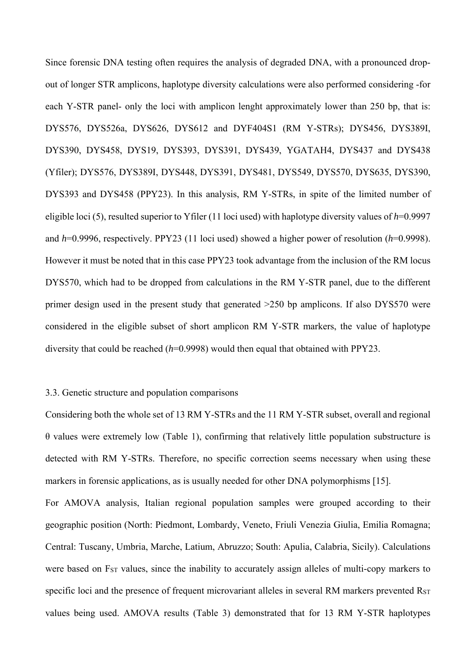Since forensic DNA testing often requires the analysis of degraded DNA, with a pronounced dropout of longer STR amplicons, haplotype diversity calculations were also performed considering -for each Y-STR panel- only the loci with amplicon lenght approximately lower than 250 bp, that is: DYS576, DYS526a, DYS626, DYS612 and DYF404S1 (RM Y-STRs); DYS456, DYS389I, DYS390, DYS458, DYS19, DYS393, DYS391, DYS439, YGATAH4, DYS437 and DYS438 (Yfiler); DYS576, DYS389I, DYS448, DYS391, DYS481, DYS549, DYS570, DYS635, DYS390, DYS393 and DYS458 (PPY23). In this analysis, RM Y-STRs, in spite of the limited number of eligible loci (5), resulted superior to Yfiler (11 loci used) with haplotype diversity values of *h*=0.9997 and *h*=0.9996, respectively. PPY23 (11 loci used) showed a higher power of resolution (*h*=0.9998). However it must be noted that in this case PPY23 took advantage from the inclusion of the RM locus DYS570, which had to be dropped from calculations in the RM Y-STR panel, due to the different primer design used in the present study that generated >250 bp amplicons. If also DYS570 were considered in the eligible subset of short amplicon RM Y-STR markers, the value of haplotype diversity that could be reached (*h*=0.9998) would then equal that obtained with PPY23.

# 3.3. Genetic structure and population comparisons

Considering both the whole set of 13 RM Y-STRs and the 11 RM Y-STR subset, overall and regional θ values were extremely low (Table 1), confirming that relatively little population substructure is detected with RM Y-STRs. Therefore, no specific correction seems necessary when using these markers in forensic applications, as is usually needed for other DNA polymorphisms [15].

For AMOVA analysis, Italian regional population samples were grouped according to their geographic position (North: Piedmont, Lombardy, Veneto, Friuli Venezia Giulia, Emilia Romagna; Central: Tuscany, Umbria, Marche, Latium, Abruzzo; South: Apulia, Calabria, Sicily). Calculations were based on F<sub>ST</sub> values, since the inability to accurately assign alleles of multi-copy markers to specific loci and the presence of frequent microvariant alleles in several RM markers prevented R<sub>ST</sub> values being used. AMOVA results (Table 3) demonstrated that for 13 RM Y-STR haplotypes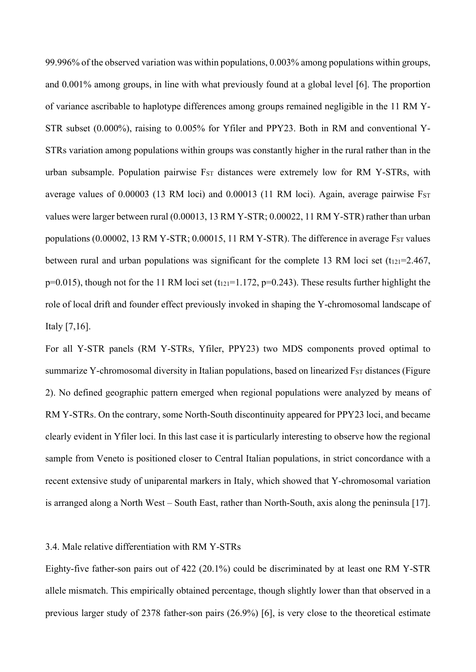99.996% of the observed variation was within populations, 0.003% among populations within groups, and 0.001% among groups, in line with what previously found at a global level [6]. The proportion of variance ascribable to haplotype differences among groups remained negligible in the 11 RM Y-STR subset (0.000%), raising to 0.005% for Yfiler and PPY23. Both in RM and conventional Y-STRs variation among populations within groups was constantly higher in the rural rather than in the urban subsample. Population pairwise FST distances were extremely low for RM Y-STRs, with average values of 0.00003 (13 RM loci) and 0.00013 (11 RM loci). Again, average pairwise Fst values were larger between rural (0.00013, 13 RM Y-STR; 0.00022, 11 RM Y-STR) rather than urban populations  $(0.00002, 13 \text{ RM} Y - \text{STR}; 0.00015, 11 \text{ RM} Y - \text{STR})$ . The difference in average  $F_{ST}$  values between rural and urban populations was significant for the complete 13 RM loci set (t<sub>121</sub>=2.467,  $p=0.015$ ), though not for the 11 RM loci set (t<sub>121</sub>=1.172,  $p=0.243$ ). These results further highlight the role of local drift and founder effect previously invoked in shaping the Y-chromosomal landscape of Italy [7,16].

For all Y-STR panels (RM Y-STRs, Yfiler, PPY23) two MDS components proved optimal to summarize Y-chromosomal diversity in Italian populations, based on linearized F<sub>ST</sub> distances (Figure 2). No defined geographic pattern emerged when regional populations were analyzed by means of RM Y-STRs. On the contrary, some North-South discontinuity appeared for PPY23 loci, and became clearly evident in Yfiler loci. In this last case it is particularly interesting to observe how the regional sample from Veneto is positioned closer to Central Italian populations, in strict concordance with a recent extensive study of uniparental markers in Italy, which showed that Y-chromosomal variation is arranged along a North West – South East, rather than North-South, axis along the peninsula [17].

### 3.4. Male relative differentiation with RM Y-STRs

Eighty-five father-son pairs out of 422 (20.1%) could be discriminated by at least one RM Y-STR allele mismatch. This empirically obtained percentage, though slightly lower than that observed in a previous larger study of 2378 father-son pairs (26.9%) [6], is very close to the theoretical estimate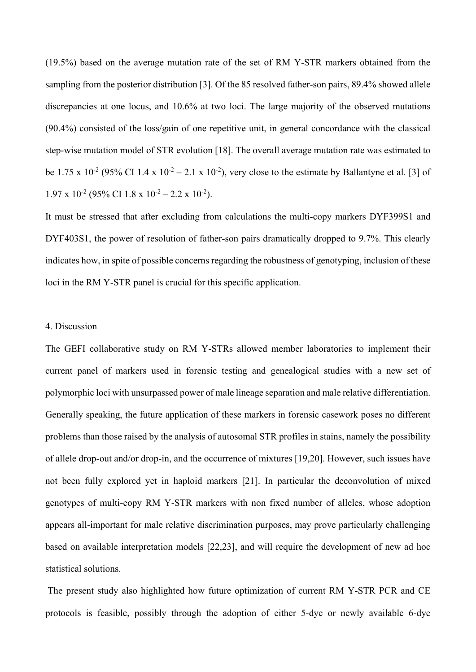(19.5%) based on the average mutation rate of the set of RM Y-STR markers obtained from the sampling from the posterior distribution [3]. Of the 85 resolved father-son pairs, 89.4% showed allele discrepancies at one locus, and 10.6% at two loci. The large majority of the observed mutations (90.4%) consisted of the loss/gain of one repetitive unit, in general concordance with the classical step-wise mutation model of STR evolution [18]. The overall average mutation rate was estimated to be 1.75 x 10<sup>-2</sup> (95% CI 1.4 x 10<sup>-2</sup> – 2.1 x 10<sup>-2</sup>), very close to the estimate by Ballantyne et al. [3] of  $1.97 \times 10^{-2}$  (95% CI 1.8 x  $10^{-2} - 2.2 \times 10^{-2}$ ).

It must be stressed that after excluding from calculations the multi-copy markers DYF399S1 and DYF403S1, the power of resolution of father-son pairs dramatically dropped to 9.7%. This clearly indicates how, in spite of possible concerns regarding the robustness of genotyping, inclusion of these loci in the RM Y-STR panel is crucial for this specific application.

### 4. Discussion

The GEFI collaborative study on RM Y-STRs allowed member laboratories to implement their current panel of markers used in forensic testing and genealogical studies with a new set of polymorphic loci with unsurpassed power of male lineage separation and male relative differentiation. Generally speaking, the future application of these markers in forensic casework poses no different problems than those raised by the analysis of autosomal STR profiles in stains, namely the possibility of allele drop-out and/or drop-in, and the occurrence of mixtures [19,20]. However, such issues have not been fully explored yet in haploid markers [21]. In particular the deconvolution of mixed genotypes of multi-copy RM Y-STR markers with non fixed number of alleles, whose adoption appears all-important for male relative discrimination purposes, may prove particularly challenging based on available interpretation models [22,23], and will require the development of new ad hoc statistical solutions.

 The present study also highlighted how future optimization of current RM Y-STR PCR and CE protocols is feasible, possibly through the adoption of either 5-dye or newly available 6-dye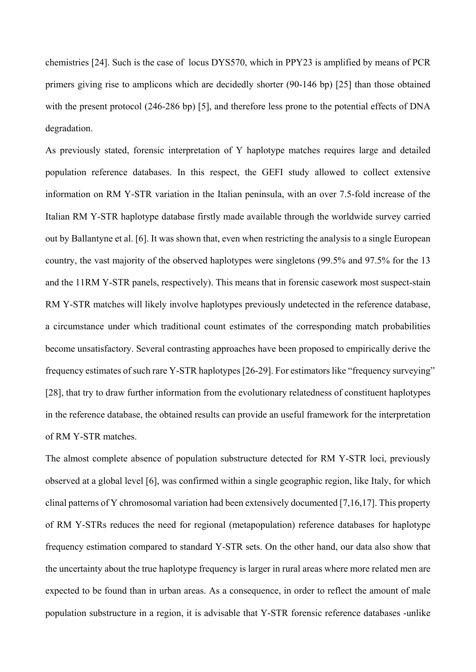chemistries [24]. Such is the case of locus DYS570, which in PPY23 is amplified by means of PCR primers giving rise to amplicons which are decidedly shorter (90-146 bp) [25] than those obtained with the present protocol (246-286 bp) [5], and therefore less prone to the potential effects of DNA degradation.

As previously stated, forensic interpretation of Y haplotype matches requires large and detailed population reference databases. In this respect, the GEFI study allowed to collect extensive information on RM Y-STR variation in the Italian peninsula, with an over 7.5-fold increase of the Italian RM Y-STR haplotype database firstly made available through the worldwide survey carried out by Ballantyne et al. [6]. It was shown that, even when restricting the analysis to a single European country, the vast majority of the observed haplotypes were singletons (99.5% and 97.5% for the 13 and the 11RM Y-STR panels, respectively). This means that in forensic casework most suspect-stain RM Y-STR matches will likely involve haplotypes previously undetected in the reference database, a circumstance under which traditional count estimates of the corresponding match probabilities become unsatisfactory. Several contrasting approaches have been proposed to empirically derive the frequency estimates of such rare Y-STR haplotypes [26-29]. For estimators like "frequency surveying" [28], that try to draw further information from the evolutionary relatedness of constituent haplotypes in the reference database, the obtained results can provide an useful framework for the interpretation of RM Y-STR matches.

The almost complete absence of population substructure detected for RM Y-STR loci, previously observed at a global level [6], was confirmed within a single geographic region, like Italy, for which clinal patterns of Y chromosomal variation had been extensively documented [7,16,17]. This property of RM Y-STRs reduces the need for regional (metapopulation) reference databases for haplotype frequency estimation compared to standard Y-STR sets. On the other hand, our data also show that the uncertainty about the true haplotype frequency is larger in rural areas where more related men are expected to be found than in urban areas. As a consequence, in order to reflect the amount of male population substructure in a region, it is advisable that Y-STR forensic reference databases -unlike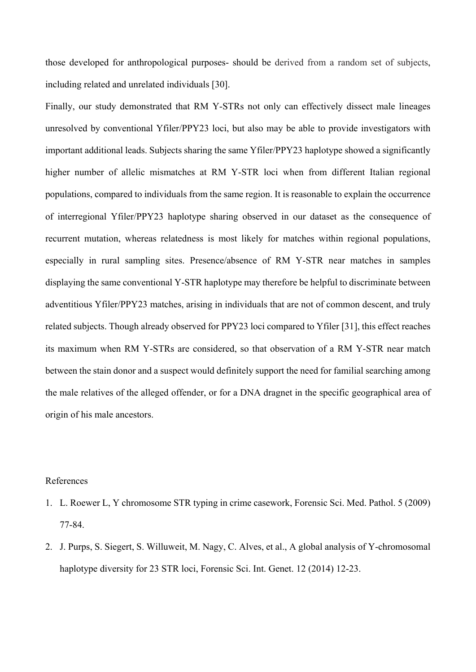those developed for anthropological purposes- should be derived from a random set of subjects, including related and unrelated individuals [30].

Finally, our study demonstrated that RM Y-STRs not only can effectively dissect male lineages unresolved by conventional Yfiler/PPY23 loci, but also may be able to provide investigators with important additional leads. Subjects sharing the same Yfiler/PPY23 haplotype showed a significantly higher number of allelic mismatches at RM Y-STR loci when from different Italian regional populations, compared to individuals from the same region. It is reasonable to explain the occurrence of interregional Yfiler/PPY23 haplotype sharing observed in our dataset as the consequence of recurrent mutation, whereas relatedness is most likely for matches within regional populations, especially in rural sampling sites. Presence/absence of RM Y-STR near matches in samples displaying the same conventional Y-STR haplotype may therefore be helpful to discriminate between adventitious Yfiler/PPY23 matches, arising in individuals that are not of common descent, and truly related subjects. Though already observed for PPY23 loci compared to Yfiler [31], this effect reaches its maximum when RM Y-STRs are considered, so that observation of a RM Y-STR near match between the stain donor and a suspect would definitely support the need for familial searching among the male relatives of the alleged offender, or for a DNA dragnet in the specific geographical area of origin of his male ancestors.

# References

- 1. L. Roewer L, Y chromosome STR typing in crime casework, Forensic Sci. Med. Pathol. 5 (2009) 77-84.
- 2. J. Purps, S. Siegert, S. Willuweit, M. Nagy, C. Alves, et al., A global analysis of Y-chromosomal haplotype diversity for 23 STR loci, Forensic Sci. Int. Genet. 12 (2014) 12-23.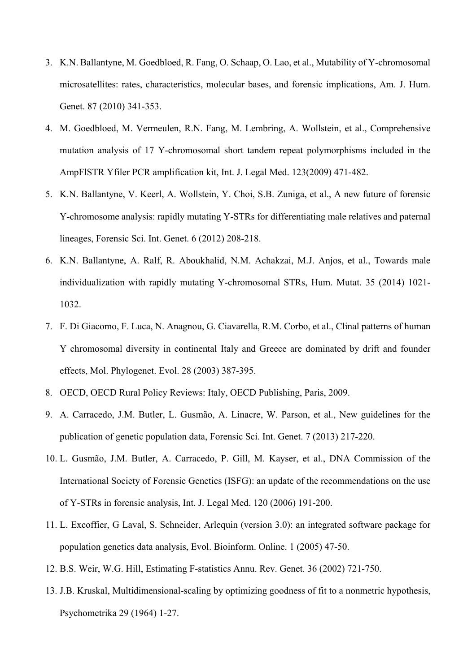- 3. K.N. Ballantyne, M. Goedbloed, R. Fang, O. Schaap, O. Lao, et al., Mutability of Y-chromosomal microsatellites: rates, characteristics, molecular bases, and forensic implications, Am. J. Hum. Genet. 87 (2010) 341-353.
- 4. M. Goedbloed, M. Vermeulen, R.N. Fang, M. Lembring, A. Wollstein, et al., Comprehensive mutation analysis of 17 Y-chromosomal short tandem repeat polymorphisms included in the AmpFlSTR Yfiler PCR amplification kit, Int. J. Legal Med. 123(2009) 471-482.
- 5. K.N. Ballantyne, V. Keerl, A. Wollstein, Y. Choi, S.B. Zuniga, et al., A new future of forensic Y-chromosome analysis: rapidly mutating Y-STRs for differentiating male relatives and paternal lineages, Forensic Sci. Int. Genet. 6 (2012) 208-218.
- 6. K.N. Ballantyne, A. Ralf, R. Aboukhalid, N.M. Achakzai, M.J. Anjos, et al., Towards male individualization with rapidly mutating Y-chromosomal STRs, Hum. Mutat. 35 (2014) 1021- 1032.
- 7. F. Di Giacomo, F. Luca, N. Anagnou, G. Ciavarella, R.M. Corbo, et al., Clinal patterns of human Y chromosomal diversity in continental Italy and Greece are dominated by drift and founder effects, Mol. Phylogenet. Evol. 28 (2003) 387-395.
- 8. OECD, OECD Rural Policy Reviews: Italy, OECD Publishing, Paris, 2009.
- 9. A. Carracedo, J.M. Butler, L. Gusmão, A. Linacre, W. Parson, et al., New guidelines for the publication of genetic population data, Forensic Sci. Int. Genet. 7 (2013) 217-220.
- 10. L. Gusmão, J.M. Butler, A. Carracedo, P. Gill, M. Kayser, et al., DNA Commission of the International Society of Forensic Genetics (ISFG): an update of the recommendations on the use of Y-STRs in forensic analysis, Int. J. Legal Med. 120 (2006) 191-200.
- 11. L. Excoffier, G Laval, S. Schneider, Arlequin (version 3.0): an integrated software package for population genetics data analysis, Evol. Bioinform. Online. 1 (2005) 47-50.
- 12. B.S. Weir, W.G. Hill, Estimating F-statistics Annu. Rev. Genet. 36 (2002) 721-750.
- 13. J.B. Kruskal, Multidimensional-scaling by optimizing goodness of fit to a nonmetric hypothesis, Psychometrika 29 (1964) 1-27.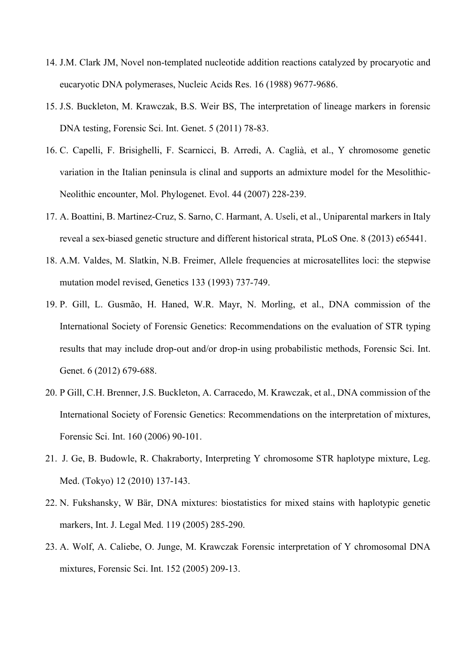- 14. J.M. Clark JM, Novel non-templated nucleotide addition reactions catalyzed by procaryotic and eucaryotic DNA polymerases, Nucleic Acids Res. 16 (1988) 9677-9686.
- 15. J.S. Buckleton, M. Krawczak, B.S. Weir BS, The interpretation of lineage markers in forensic DNA testing, Forensic Sci. Int. Genet. 5 (2011) 78-83.
- 16. C. Capelli, F. Brisighelli, F. Scarnicci, B. Arredi, A. Caglià, et al., Y chromosome genetic variation in the Italian peninsula is clinal and supports an admixture model for the Mesolithic-Neolithic encounter, Mol. Phylogenet. Evol. 44 (2007) 228-239.
- 17. A. Boattini, B. Martinez-Cruz, S. Sarno, C. Harmant, A. Useli, et al., Uniparental markers in Italy reveal a sex-biased genetic structure and different historical strata, PLoS One. 8 (2013) e65441.
- 18. A.M. Valdes, M. Slatkin, N.B. Freimer, Allele frequencies at microsatellites loci: the stepwise mutation model revised, Genetics 133 (1993) 737-749.
- 19. P. Gill, L. Gusmão, H. Haned, W.R. Mayr, N. Morling, et al., DNA commission of the International Society of Forensic Genetics: Recommendations on the evaluation of STR typing results that may include drop-out and/or drop-in using probabilistic methods, Forensic Sci. Int. Genet. 6 (2012) 679-688.
- 20. P Gill, C.H. Brenner, J.S. Buckleton, A. Carracedo, M. Krawczak, et al., DNA commission of the International Society of Forensic Genetics: Recommendations on the interpretation of mixtures, Forensic Sci. Int. 160 (2006) 90-101.
- 21. J. Ge, B. Budowle, R. Chakraborty, Interpreting Y chromosome STR haplotype mixture, Leg. Med. (Tokyo) 12 (2010) 137-143.
- 22. N. Fukshansky, W Bär, DNA mixtures: biostatistics for mixed stains with haplotypic genetic markers, Int. J. Legal Med. 119 (2005) 285-290.
- 23. A. Wolf, A. Caliebe, O. Junge, M. Krawczak Forensic interpretation of Y chromosomal DNA mixtures, Forensic Sci. Int. 152 (2005) 209-13.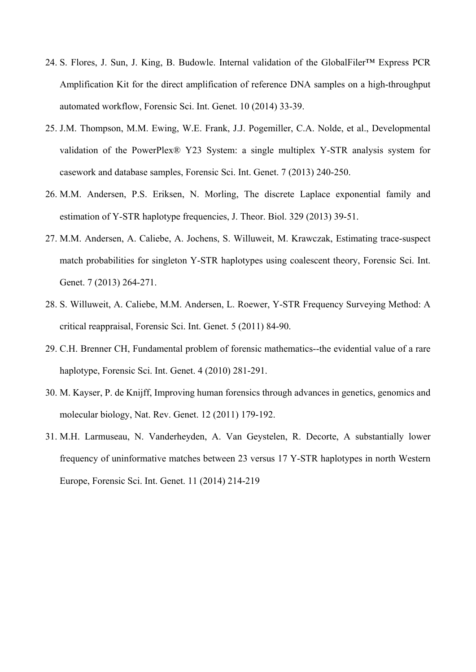- 24. S. Flores, J. Sun, J. King, B. Budowle. Internal validation of the GlobalFiler™ Express PCR Amplification Kit for the direct amplification of reference DNA samples on a high-throughput automated workflow, Forensic Sci. Int. Genet. 10 (2014) 33-39.
- 25. J.M. Thompson, M.M. Ewing, W.E. Frank, J.J. Pogemiller, C.A. Nolde, et al., Developmental validation of the PowerPlex® Y23 System: a single multiplex Y-STR analysis system for casework and database samples, Forensic Sci. Int. Genet. 7 (2013) 240-250.
- 26. M.M. Andersen, P.S. Eriksen, N. Morling, The discrete Laplace exponential family and estimation of Y-STR haplotype frequencies, J. Theor. Biol. 329 (2013) 39-51.
- 27. M.M. Andersen, A. Caliebe, A. Jochens, S. Willuweit, M. Krawczak, Estimating trace-suspect match probabilities for singleton Y-STR haplotypes using coalescent theory, Forensic Sci. Int. Genet. 7 (2013) 264-271.
- 28. S. Willuweit, A. Caliebe, M.M. Andersen, L. Roewer, Y-STR Frequency Surveying Method: A critical reappraisal, Forensic Sci. Int. Genet. 5 (2011) 84-90.
- 29. C.H. Brenner CH, Fundamental problem of forensic mathematics--the evidential value of a rare haplotype, Forensic Sci. Int. Genet. 4 (2010) 281-291.
- 30. M. Kayser, P. de Knijff, Improving human forensics through advances in genetics, genomics and molecular biology, Nat. Rev. Genet. 12 (2011) 179-192.
- 31. M.H. Larmuseau, N. Vanderheyden, A. Van Geystelen, R. Decorte, A substantially lower frequency of uninformative matches between 23 versus 17 Y-STR haplotypes in north Western Europe, Forensic Sci. Int. Genet. 11 (2014) 214-219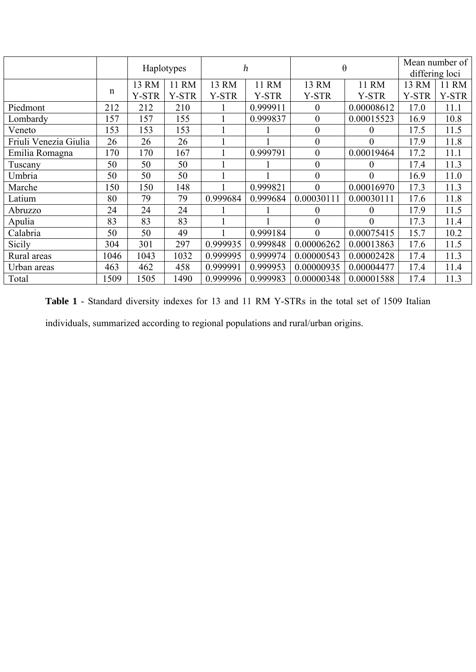|                       |              | Haplotypes   |              | $\boldsymbol{h}$ |              | $\theta$         |                  | Mean number of |              |  |
|-----------------------|--------------|--------------|--------------|------------------|--------------|------------------|------------------|----------------|--------------|--|
|                       |              |              |              |                  |              |                  |                  | differing loci |              |  |
|                       |              | 13 RM        | 11 RM        | 13 RM            | 11 RM        | 13 RM            | 11 RM            | 13 RM          | 11 RM        |  |
|                       | $\mathsf{n}$ | <b>Y-STR</b> | <b>Y-STR</b> | <b>Y-STR</b>     | <b>Y-STR</b> | <b>Y-STR</b>     | <b>Y-STR</b>     | <b>Y-STR</b>   | <b>Y-STR</b> |  |
| Piedmont              | 212          | 212          | 210          |                  | 0.999911     | $\boldsymbol{0}$ | 0.00008612       | 17.0           | 11.1         |  |
| Lombardy              | 157          | 157          | 155          |                  | 0.999837     | $\theta$         | 0.00015523       | 16.9           | 10.8         |  |
| Veneto                | 153          | 153          | 153          |                  |              | $\boldsymbol{0}$ | $\theta$         | 17.5           | 11.5         |  |
| Friuli Venezia Giulia | 26           | 26           | 26           |                  |              | $\boldsymbol{0}$ | $\boldsymbol{0}$ | 17.9           | 11.8         |  |
| Emilia Romagna        | 170          | 170          | 167          |                  | 0.999791     | $\overline{0}$   | 0.00019464       | 17.2           | 11.1         |  |
| Tuscany               | 50           | 50           | 50           |                  |              | $\boldsymbol{0}$ | $\overline{0}$   | 17.4           | 11.3         |  |
| Umbria                | 50           | 50           | 50           |                  |              | $\overline{0}$   | $\theta$         | 16.9           | 11.0         |  |
| Marche                | 150          | 150          | 148          |                  | 0.999821     | $\theta$         | 0.00016970       | 17.3           | 11.3         |  |
| Latium                | 80           | 79           | 79           | 0.999684         | 0.999684     | 0.00030111       | 0.00030111       | 17.6           | 11.8         |  |
| Abruzzo               | 24           | 24           | 24           |                  |              | $\boldsymbol{0}$ | $\theta$         | 17.9           | 11.5         |  |
| Apulia                | 83           | 83           | 83           |                  |              | $\boldsymbol{0}$ | $\theta$         | 17.3           | 11.4         |  |
| Calabria              | 50           | 50           | 49           |                  | 0.999184     | $\theta$         | 0.00075415       | 15.7           | 10.2         |  |
| Sicily                | 304          | 301          | 297          | 0.999935         | 0.999848     | 0.00006262       | 0.00013863       | 17.6           | 11.5         |  |
| Rural areas           | 1046         | 1043         | 1032         | 0.999995         | 0.999974     | 0.00000543       | 0.00002428       | 17.4           | 11.3         |  |
| Urban areas           | 463          | 462          | 458          | 0.999991         | 0.999953     | 0.00000935       | 0.00004477       | 17.4           | 11.4         |  |
| Total                 | 1509         | 1505         | 1490         | 0.999996         | 0.999983     | 0.00000348       | 0.00001588       | 17.4           | 11.3         |  |

**Table 1** - Standard diversity indexes for 13 and 11 RM Y-STRs in the total set of 1509 Italian

individuals, summarized according to regional populations and rural/urban origins.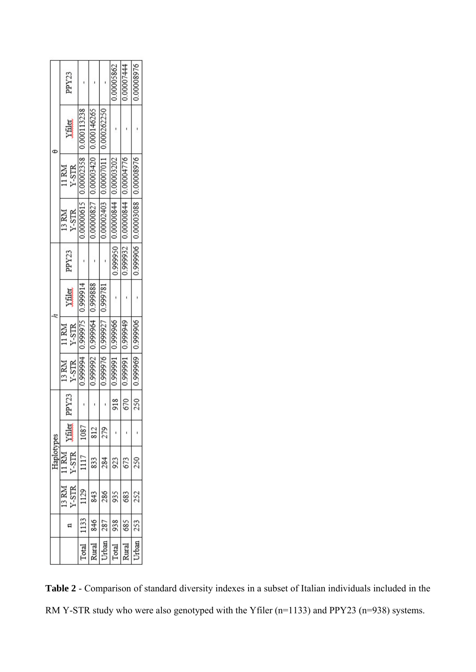|            | PPY <sub>23</sub>        |                                   |                                   |                                       | 0.00005862         | 0.00007444                    | 0.00008976                        |  |
|------------|--------------------------|-----------------------------------|-----------------------------------|---------------------------------------|--------------------|-------------------------------|-----------------------------------|--|
|            | <b>Allia</b>             |                                   |                                   |                                       |                    |                               |                                   |  |
|            | Y-STR<br>11 RM           | 0.00000615 0.00002358 0.000113238 | 0.00000827 0.00003420 0.000146265 | 0.00002403   0.00007011   0.000262250 | 0.00003202         |                               |                                   |  |
|            | Y-STR<br>13 RM           |                                   |                                   |                                       | 4480000000 0566660 | 0.99932 0.00000844 0.00004776 | 0.999906   0.00003088   0.0008976 |  |
|            | PPY <sub>23</sub>        |                                   |                                   |                                       |                    |                               |                                   |  |
|            | <b>Allah</b>             |                                   |                                   |                                       |                    |                               |                                   |  |
|            | Y-STR<br>11 RM           | 4166660   5166660   4666660       | 0.999992   0.99950   0.99888      | 0.99976   7266660   9266660           |                    |                               |                                   |  |
|            | 13 RM<br>Y-STR           |                                   |                                   |                                       | 0.99991   0.999966 | 0.99991 166660                | 0.99960   6966660                 |  |
| Haplotypes | PPY <sub>23</sub>        |                                   |                                   |                                       | 918                | 670                           | 250                               |  |
|            | Yfiler                   | 1087                              | 812                               | 279                                   |                    |                               |                                   |  |
|            | Y-STR<br>1R <sub>N</sub> | 1117                              | 833                               | 284                                   | 923                | 673                           | 250                               |  |
|            | 13 RM<br>$Y-STR$         | 129                               | 843                               | 286                                   | 935                | 683                           | 252                               |  |
|            | ₫                        | 1133                              | 846                               | 287                                   | 938                | 685                           | 253                               |  |
|            |                          | Total                             | Rural                             | Urban                                 | Total              | Rural                         | Urban                             |  |

**Table 2** - Comparison of standard diversity indexes in a subset of Italian individuals included in the RM Y-STR study who were also genotyped with the Yfiler (n=1133) and PPY23 (n=938) systems.